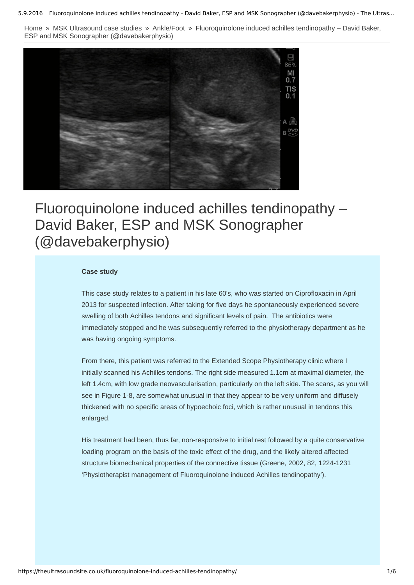5.9.2016 Fluoroquinolone induced achilles tendinopathy - David Baker, ESP and MSK Sonographer (@davebakerphysio) - The Ultras...

[Home](https://theultrasoundsite.co.uk/) » MSK [Ultrasound](https://theultrasoundsite.co.uk/category/msk-ultrasound-case-studies/) case studies » [Ankle/Foot](https://theultrasoundsite.co.uk/category/msk-ultrasound-case-studies/anklefoot-case-studies/) » Fluoroquinolone induced achilles tendinopathy – David Baker, ESP and MSK Sonographer (@davebakerphysio)



# Fluoroquinolone induced achilles tendinopathy – David Baker, ESP and MSK Sonographer (@davebakerphysio)

## **Case study**

This case study relates to a patient in his late 60's, who was started on Ciprofloxacin in April 2013 for suspected infection. After taking for five days he spontaneously experienced severe swelling of both Achilles tendons and significant levels of pain. The antibiotics were immediately stopped and he was subsequently referred to the physiotherapy department as he was having ongoing symptoms.

From there, this patient was referred to the Extended Scope Physiotherapy clinic where I initially scanned his Achilles tendons. The right side measured 1.1cm at maximal diameter, the left 1.4cm, with low grade neovascularisation, particularly on the left side. The scans, as you will see in Figure 1-8, are somewhat unusual in that they appear to be very uniform and diffusely thickened with no specific areas of hypoechoic foci, which is rather unusual in tendons this enlarged.

His treatment had been, thus far, non-responsive to initial rest followed by a quite conservative loading program on the basis of the toxic effect of the drug, and the likely altered affected structure biomechanical properties of the connective tissue (Greene, 2002, 82, 1224-1231 'Physiotherapist management of Fluoroquinolone induced Achilles tendinopathy').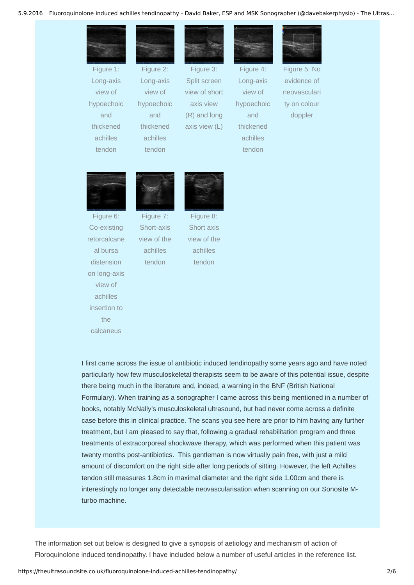#### 5.9.2016 Fluoroquinolone induced achilles tendinopathy - David Baker, ESP and MSK Sonographer (@davebakerphysio) - The Ultras...



Figure 1: Long-axis view of hypoechoic and thickened achilles tendon



Figure 2: Long-axis view of hypoechoic and thickened achilles

tendon



Figure 3: Split screen view of short axis view (R) and long axis view (L)



Figure 4: Long-axis view of hypoechoic and thickened achilles tendon



Figure 5: No evidence of neovasculari ty on colour doppler



Figure 6: Co-existing retorcalcane al bursa distension on long-axis view of achilles insertion to the

calcaneus



Short-axis view of the achilles

tendon

Figure 8: Short axis view of the achilles

tendon

I first came across the issue of antibiotic induced tendinopathy some years ago and have noted particularly how few musculoskeletal therapists seem to be aware of this potential issue, despite there being much in the literature and, indeed, a warning in the BNF (British National Formulary). When training as a sonographer I came across this being mentioned in a number of books, notably McNally's musculoskeletal ultrasound, but had never come across a definite case before this in clinical practice. The scans you see here are prior to him having any further treatment, but I am pleased to say that, following a gradual rehabilitation program and three treatments of extracorporeal shockwave therapy, which was performed when this patient was twenty months post-antibiotics. This gentleman is now virtually pain free, with just a mild amount of discomfort on the right side after long periods of sitting. However, the left Achilles tendon still measures 1.8cm in maximal diameter and the right side 1.00cm and there is interestingly no longer any detectable neovascularisation when scanning on our Sonosite Mturbo machine.

The information set out below is designed to give a synopsis of aetiology and mechanism of action of Floroquinolone induced tendinopathy. I have included below a number of useful articles in the reference list.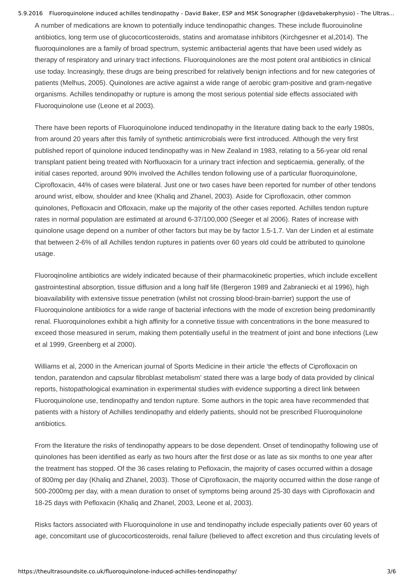5.9.2016 Fluoroquinolone induced achilles tendinopathy - David Baker, ESP and MSK Sonographer (@davebakerphysio) - The Ultras... A number of medications are known to potentially induce tendinopathic changes. These include fluorouinoline antibiotics, long term use of glucocorticosteroids, statins and aromatase inhibitors (Kirchgesner et al,2014). The fluoroquinolones are a family of broad spectrum, systemic antibacterial agents that have been used widely as therapy of respiratory and urinary tract infections. Fluoroquinolones are the most potent oral antibiotics in clinical use today. Increasingly, these drugs are being prescribed for relatively benign infections and for new categories of patients (Melhus, 2005). Quinolones are active against a wide range of aerobic gram-positive and gram-negative organisms. Achilles tendinopathy or rupture is among the most serious potential side effects associated with Fluoroquinolone use (Leone et al 2003).

There have been reports of Fluoroquinolone induced tendinopathy in the literature dating back to the early 1980s, from around 20 years after this family of synthetic antimicrobials were first introduced. Although the very first published report of quinolone induced tendinopathy was in New Zealand in 1983, relating to a 56-year old renal transplant patient being treated with Norfluoxacin for a urinary tract infection and septicaemia, generally, of the initial cases reported, around 90% involved the Achilles tendon following use of a particular fluoroquinolone, Ciprofloxacin, 44% of cases were bilateral. Just one or two cases have been reported for number of other tendons around wrist, elbow, shoulder and knee (Khaliq and Zhanel, 2003). Aside for Ciprofloxacin, other common quinolones, Pefloxacin and Ofloxacin, make up the majority of the other cases reported. Achilles tendon rupture rates in normal population are estimated at around 6-37/100,000 (Seeger et al 2006). Rates of increase with quinolone usage depend on a number of other factors but may be by factor 1.5-1.7. Van der Linden et al estimate that between 26% of all Achilles tendon ruptures in patients over 60 years old could be attributed to quinolone usage.

Fluoroqinoline antibiotics are widely indicated because of their pharmacokinetic properties, which include excellent gastrointestinal absorption, tissue diffusion and a long half life (Bergeron 1989 and Zabraniecki et al 1996), high bioavailability with extensive tissue penetration (whilst not crossing blood-brain-barrier) support the use of Fluoroquinolone antibiotics for a wide range of bacterial infections with the mode of excretion being predominantly renal. Fluoroquinolones exhibit a high affinity for a connetive tissue with concentrations in the bone measured to exceed those measured in serum, making them potentially useful in the treatment of joint and bone infections (Lew et al 1999, Greenberg et al 2000).

Williams et al, 2000 in the American journal of Sports Medicine in their article 'the effects of Ciprofloxacin on tendon, paratendon and capsular fibroblast metabolism' stated there was a large body of data provided by clinical reports, histopathological examination in experimental studies with evidence supporting a direct link between Fluoroquinolone use, tendinopathy and tendon rupture. Some authors in the topic area have recommended that patients with a history of Achilles tendinopathy and elderly patients, should not be prescribed Fluoroquinolone antibiotics.

From the literature the risks of tendinopathy appears to be dose dependent. Onset of tendinopathy following use of quinolones has been identified as early as two hours after the first dose or as late as six months to one year after the treatment has stopped. Of the 36 cases relating to Pefloxacin, the majority of cases occurred within a dosage of 800mg per day (Khaliq and Zhanel, 2003). Those of Ciprofloxacin, the majority occurred within the dose range of 5002000mg per day, with a mean duration to onset of symptoms being around 2530 days with Ciprofloxacin and 1825 days with Pefloxacin (Khaliq and Zhanel, 2003, Leone et al, 2003).

Risks factors associated with Fluoroquinolone in use and tendinopathy include especially patients over 60 years of age, concomitant use of glucocorticosteroids, renal failure (believed to affect excretion and thus circulating levels of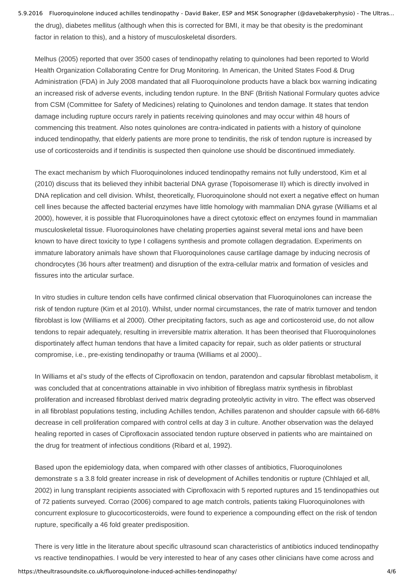5.9.2016 Fluoroquinolone induced achilles tendinopathy - David Baker, ESP and MSK Sonographer (@davebakerphysio) - The Ultras... the drug), diabetes mellitus (although when this is corrected for BMI, it may be that obesity is the predominant factor in relation to this), and a history of musculoskeletal disorders.

Melhus (2005) reported that over 3500 cases of tendinopathy relating to quinolones had been reported to World Health Organization Collaborating Centre for Drug Monitoring. In American, the United States Food & Drug Administration (FDA) in July 2008 mandated that all Fluoroquinolone products have a black box warning indicating an increased risk of adverse events, including tendon rupture. In the BNF (British National Formulary quotes advice from CSM (Committee for Safety of Medicines) relating to Quinolones and tendon damage. It states that tendon damage including rupture occurs rarely in patients receiving quinolones and may occur within 48 hours of commencing this treatment. Also notes quinolones are contra-indicated in patients with a history of quinolone induced tendinopathy, that elderly patients are more prone to tendinitis, the risk of tendon rupture is increased by use of corticosteroids and if tendinitis is suspected then quinolone use should be discontinued immediately.

The exact mechanism by which Fluoroquinolones induced tendinopathy remains not fully understood, Kim et al (2010) discuss that its believed they inhibit bacterial DNA gyrase (Topoisomerase II) which is directly involved in DNA replication and cell division. Whilst, theoretically, Fluoroquinolone should not exert a negative effect on human cell lines because the affected bacterial enzymes have little homology with mammalian DNA gyrase (Williams et al 2000), however, it is possible that Fluoroquinolones have a direct cytotoxic effect on enzymes found in mammalian musculoskeletal tissue. Fluoroquinolones have chelating properties against several metal ions and have been known to have direct toxicity to type I collagens synthesis and promote collagen degradation. Experiments on immature laboratory animals have shown that Fluoroquinolones cause cartilage damage by inducing necrosis of chondrocytes (36 hours after treatment) and disruption of the extra-cellular matrix and formation of vesicles and fissures into the articular surface.

In vitro studies in culture tendon cells have confirmed clinical observation that Fluoroquinolones can increase the risk of tendon rupture (Kim et al 2010). Whilst, under normal circumstances, the rate of matrix turnover and tendon fibroblast is low (Williams et al 2000). Other precipitating factors, such as age and corticosteroid use, do not allow tendons to repair adequately, resulting in irreversible matrix alteration. It has been theorised that Fluoroquinolones disportinately affect human tendons that have a limited capacity for repair, such as older patients or structural compromise, i.e., pre-existing tendinopathy or trauma (Williams et al 2000)..

In Williams et al's study of the effects of Ciprofloxacin on tendon, paratendon and capsular fibroblast metabolism, it was concluded that at concentrations attainable in vivo inhibition of fibreglass matrix synthesis in fibroblast proliferation and increased fibroblast derived matrix degrading proteolytic activity in vitro. The effect was observed in all fibroblast populations testing, including Achilles tendon, Achilles paratenon and shoulder capsule with 66-68% decrease in cell proliferation compared with control cells at day 3 in culture. Another observation was the delayed healing reported in cases of Ciprofloxacin associated tendon rupture observed in patients who are maintained on the drug for treatment of infectious conditions (Ribard et al, 1992).

Based upon the epidemiology data, when compared with other classes of antibiotics, Fluoroquinolones demonstrate s a 3.8 fold greater increase in risk of development of Achilles tendonitis or rupture (Chhlajed et all, 2002) in lung transplant recipients associated with Ciprofloxacin with 5 reported ruptures and 15 tendinopathies out of 72 patients surveyed. Corrao (2006) compared to age match controls, patients taking Fluoroquinolones with concurrent explosure to glucocorticosteroids, were found to experience a compounding effect on the risk of tendon rupture, specifically a 46 fold greater predisposition.

There is very little in the literature about specific ultrasound scan characteristics of antibiotics induced tendinopathy vs reactive tendinopathies. I would be very interested to hear of any cases other clinicians have come across and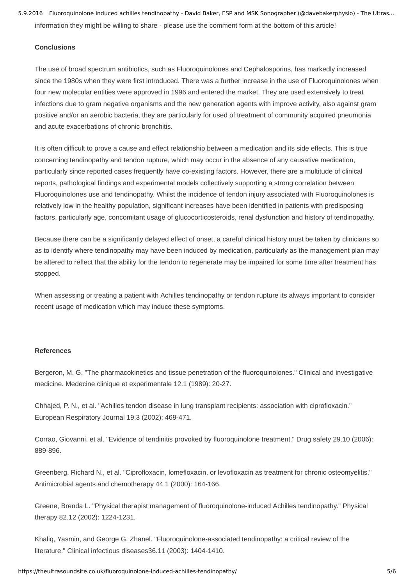5.9.2016 Fluoroquinolone induced achilles tendinopathy - David Baker, ESP and MSK Sonographer (@davebakerphysio) - The Ultras... information they might be willing to share - please use the comment form at the bottom of this article!

# **Conclusions**

The use of broad spectrum antibiotics, such as Fluoroquinolones and Cephalosporins, has markedly increased since the 1980s when they were first introduced. There was a further increase in the use of Fluoroquinolones when four new molecular entities were approved in 1996 and entered the market. They are used extensively to treat infections due to gram negative organisms and the new generation agents with improve activity, also against gram positive and/or an aerobic bacteria, they are particularly for used of treatment of community acquired pneumonia and acute exacerbations of chronic bronchitis.

It is often difficult to prove a cause and effect relationship between a medication and its side effects. This is true concerning tendinopathy and tendon rupture, which may occur in the absence of any causative medication, particularly since reported cases frequently have co-existing factors. However, there are a multitude of clinical reports, pathological findings and experimental models collectively supporting a strong correlation between Fluoroquinolones use and tendinopathy. Whilst the incidence of tendon injury associated with Fluoroquinolones is relatively low in the healthy population, significant increases have been identified in patients with predisposing factors, particularly age, concomitant usage of glucocorticosteroids, renal dysfunction and history of tendinopathy.

Because there can be a significantly delayed effect of onset, a careful clinical history must be taken by clinicians so as to identify where tendinopathy may have been induced by medication, particularly as the management plan may be altered to reflect that the ability for the tendon to regenerate may be impaired for some time after treatment has stopped.

When assessing or treating a patient with Achilles tendinopathy or tendon rupture its always important to consider recent usage of medication which may induce these symptoms.

### **References**

Bergeron, M. G. "The pharmacokinetics and tissue penetration of the fluoroquinolones." Clinical and investigative medicine. Medecine clinique et experimentale 12.1 (1989): 20-27.

Chhajed, P. N., et al. "Achilles tendon disease in lung transplant recipients: association with ciprofloxacin." European Respiratory Journal 19.3 (2002): 469-471.

Corrao, Giovanni, et al. "Evidence of tendinitis provoked by fluoroquinolone treatment." Drug safety 29.10 (2006): 889-896.

Greenberg, Richard N., et al. "Ciprofloxacin, lomefloxacin, or levofloxacin as treatment for chronic osteomyelitis." Antimicrobial agents and chemotherapy 44.1 (2000): 164-166.

Greene, Brenda L. "Physical therapist management of fluoroquinolone-induced Achilles tendinopathy." Physical therapy 82.12 (2002): 1224-1231.

Khaliq, Yasmin, and George G. Zhanel. "Fluoroquinolone-associated tendinopathy: a critical review of the literature." Clinical infectious diseases36.11 (2003): 1404-1410.